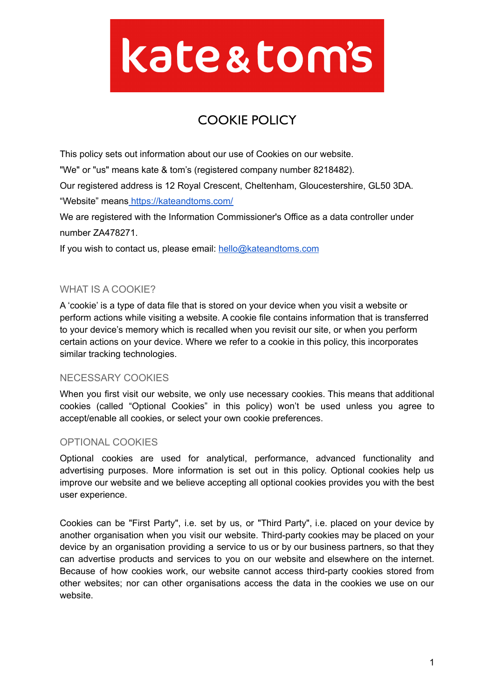# kate&tom's

# COOKIE POLICY

This policy sets out information about our use of Cookies on our website.

"We" or "us" means kate & tom's (registered company number 8218482).

Our registered address is 12 Royal Crescent, Cheltenham, Gloucestershire, GL50 3DA.

"Website" means <https://kateandtoms.com/>

We are registered with the Information Commissioner's Office as a data controller under number ZA478271.

If you wish to contact us, please email: [hello@kateandtoms.com](mailto:hello@kateandtoms.com)

# WHAT IS A COOKIE?

A 'cookie' is a type of data file that is stored on your device when you visit a website or perform actions while visiting a website. A cookie file contains information that is transferred to your device's memory which is recalled when you revisit our site, or when you perform certain actions on your device. Where we refer to a cookie in this policy, this incorporates similar tracking technologies.

# NECESSARY COOKIES

When you first visit our website, we only use necessary cookies. This means that additional cookies (called "Optional Cookies" in this policy) won't be used unless you agree to accept/enable all cookies, or select your own cookie preferences.

# OPTIONAL COOKIES

Optional cookies are used for analytical, performance, advanced functionality and advertising purposes. More information is set out in this policy. Optional cookies help us improve our website and we believe accepting all optional cookies provides you with the best user experience.

Cookies can be "First Party", i.e. set by us, or "Third Party", i.e. placed on your device by another organisation when you visit our website. Third-party cookies may be placed on your device by an organisation providing a service to us or by our business partners, so that they can advertise products and services to you on our website and elsewhere on the internet. Because of how cookies work, our website cannot access third-party cookies stored from other websites; nor can other organisations access the data in the cookies we use on our website.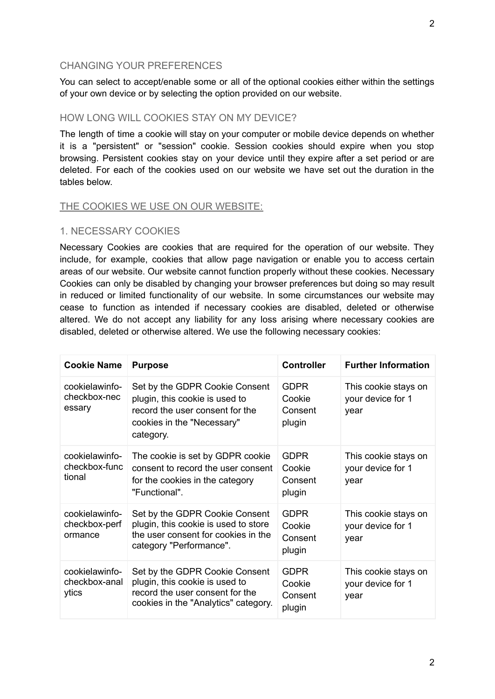#### CHANGING YOUR PREFERENCES

You can select to accept/enable some or all of the optional cookies either within the settings of your own device or by selecting the option provided on our website.

# HOW LONG WILL COOKIES STAY ON MY DEVICE?

The length of time a cookie will stay on your computer or mobile device depends on whether it is a "persistent" or "session" cookie. Session cookies should expire when you stop browsing. Persistent cookies stay on your device until they expire after a set period or are deleted. For each of the cookies used on our website we have set out the duration in the tables below.

#### THE COOKIES WE USE ON OUR WEBSITE:

#### 1. NECESSARY COOKIES

Necessary Cookies are cookies that are required for the operation of our website. They include, for example, cookies that allow page navigation or enable you to access certain areas of our website. Our website cannot function properly without these cookies. Necessary Cookies can only be disabled by changing your browser preferences but doing so may result in reduced or limited functionality of our website. In some circumstances our website may cease to function as intended if necessary cookies are disabled, deleted or otherwise altered. We do not accept any liability for any loss arising where necessary cookies are disabled, deleted or otherwise altered. We use the following necessary cookies:

| <b>Cookie Name</b>                         | <b>Purpose</b>                                                                                                                                 | <b>Controller</b>                          | <b>Further Information</b>                        |
|--------------------------------------------|------------------------------------------------------------------------------------------------------------------------------------------------|--------------------------------------------|---------------------------------------------------|
| cookielawinfo-<br>checkbox-nec<br>essary   | Set by the GDPR Cookie Consent<br>plugin, this cookie is used to<br>record the user consent for the<br>cookies in the "Necessary"<br>category. | <b>GDPR</b><br>Cookie<br>Consent<br>plugin | This cookie stays on<br>your device for 1<br>vear |
| cookielawinfo-<br>checkbox-func<br>tional  | The cookie is set by GDPR cookie<br>consent to record the user consent<br>for the cookies in the category<br>"Functional".                     | <b>GDPR</b><br>Cookie<br>Consent<br>plugin | This cookie stays on<br>your device for 1<br>year |
| cookielawinfo-<br>checkbox-perf<br>ormance | Set by the GDPR Cookie Consent<br>plugin, this cookie is used to store<br>the user consent for cookies in the<br>category "Performance".       | <b>GDPR</b><br>Cookie<br>Consent<br>plugin | This cookie stays on<br>your device for 1<br>year |
| cookielawinfo-<br>checkbox-anal<br>ytics   | Set by the GDPR Cookie Consent<br>plugin, this cookie is used to<br>record the user consent for the<br>cookies in the "Analytics" category.    | <b>GDPR</b><br>Cookie<br>Consent<br>plugin | This cookie stays on<br>your device for 1<br>year |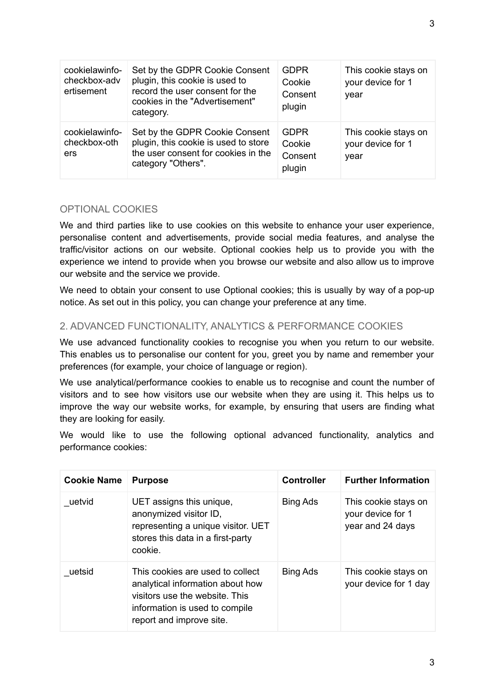| cookielawinfo-<br>checkbox-adv<br>ertisement | Set by the GDPR Cookie Consent<br>plugin, this cookie is used to<br>record the user consent for the<br>cookies in the "Advertisement"<br>category. | <b>GDPR</b><br>Cookie<br>Consent<br>plugin | This cookie stays on<br>your device for 1<br>year |
|----------------------------------------------|----------------------------------------------------------------------------------------------------------------------------------------------------|--------------------------------------------|---------------------------------------------------|
| cookielawinfo-<br>checkbox-oth<br>ers        | Set by the GDPR Cookie Consent<br>plugin, this cookie is used to store<br>the user consent for cookies in the<br>category "Others".                | <b>GDPR</b><br>Cookie<br>Consent<br>plugin | This cookie stays on<br>your device for 1<br>year |

# OPTIONAL COOKIES

We and third parties like to use cookies on this website to enhance your user experience. personalise content and advertisements, provide social media features, and analyse the traffic/visitor actions on our website. Optional cookies help us to provide you with the experience we intend to provide when you browse our website and also allow us to improve our website and the service we provide.

We need to obtain your consent to use Optional cookies; this is usually by way of a pop-up notice. As set out in this policy, you can change your preference at any time.

# 2. ADVANCED FUNCTIONALITY, ANALYTICS & PERFORMANCE COOKIES

We use advanced functionality cookies to recognise you when you return to our website. This enables us to personalise our content for you, greet you by name and remember your preferences (for example, your choice of language or region).

We use analytical/performance cookies to enable us to recognise and count the number of visitors and to see how visitors use our website when they are using it. This helps us to improve the way our website works, for example, by ensuring that users are finding what they are looking for easily.

We would like to use the following optional advanced functionality, analytics and performance cookies:

| <b>Cookie Name</b> | <b>Purpose</b>                                                                                                                                                       | <b>Controller</b> | <b>Further Information</b>                                    |
|--------------------|----------------------------------------------------------------------------------------------------------------------------------------------------------------------|-------------------|---------------------------------------------------------------|
| uetvid             | UET assigns this unique,<br>anonymized visitor ID,<br>representing a unique visitor. UET<br>stores this data in a first-party<br>cookie.                             | <b>Bing Ads</b>   | This cookie stays on<br>your device for 1<br>year and 24 days |
| uetsid             | This cookies are used to collect<br>analytical information about how<br>visitors use the website. This<br>information is used to compile<br>report and improve site. | <b>Bing Ads</b>   | This cookie stays on<br>your device for 1 day                 |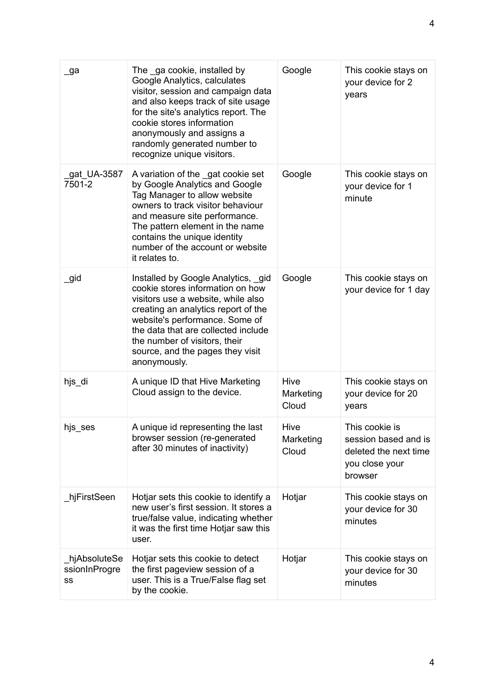| _ga                                  | The ga cookie, installed by<br>Google Analytics, calculates<br>visitor, session and campaign data<br>and also keeps track of site usage<br>for the site's analytics report. The<br>cookie stores information<br>anonymously and assigns a<br>randomly generated number to<br>recognize unique visitors.           | Google                     | This cookie stays on<br>your device for 2<br>years                                           |
|--------------------------------------|-------------------------------------------------------------------------------------------------------------------------------------------------------------------------------------------------------------------------------------------------------------------------------------------------------------------|----------------------------|----------------------------------------------------------------------------------------------|
| gat_UA-3587<br>7501-2                | A variation of the gat cookie set<br>by Google Analytics and Google<br>Tag Manager to allow website<br>owners to track visitor behaviour<br>and measure site performance.<br>The pattern element in the name<br>contains the unique identity<br>number of the account or website<br>it relates to.                | Google                     | This cookie stays on<br>your device for 1<br>minute                                          |
| _gid                                 | Installed by Google Analytics, gid<br>cookie stores information on how<br>visitors use a website, while also<br>creating an analytics report of the<br>website's performance. Some of<br>the data that are collected include<br>the number of visitors, their<br>source, and the pages they visit<br>anonymously. | Google                     | This cookie stays on<br>your device for 1 day                                                |
| hjs_di                               | A unique ID that Hive Marketing<br>Cloud assign to the device.                                                                                                                                                                                                                                                    | Hive<br>Marketing<br>Cloud | This cookie stays on<br>your device for 20<br>years                                          |
| hjs_ses                              | A unique id representing the last<br>browser session (re-generated<br>after 30 minutes of inactivity)                                                                                                                                                                                                             | Hive<br>Marketing<br>Cloud | This cookie is<br>session based and is<br>deleted the next time<br>you close your<br>browser |
| _hjFirstSeen                         | Hotjar sets this cookie to identify a<br>new user's first session. It stores a<br>true/false value, indicating whether<br>it was the first time Hotjar saw this<br>user.                                                                                                                                          | Hotjar                     | This cookie stays on<br>your device for 30<br>minutes                                        |
| _hjAbsoluteSe<br>ssionInProgre<br>SS | Hotjar sets this cookie to detect<br>the first pageview session of a<br>user. This is a True/False flag set<br>by the cookie.                                                                                                                                                                                     | Hotjar                     | This cookie stays on<br>your device for 30<br>minutes                                        |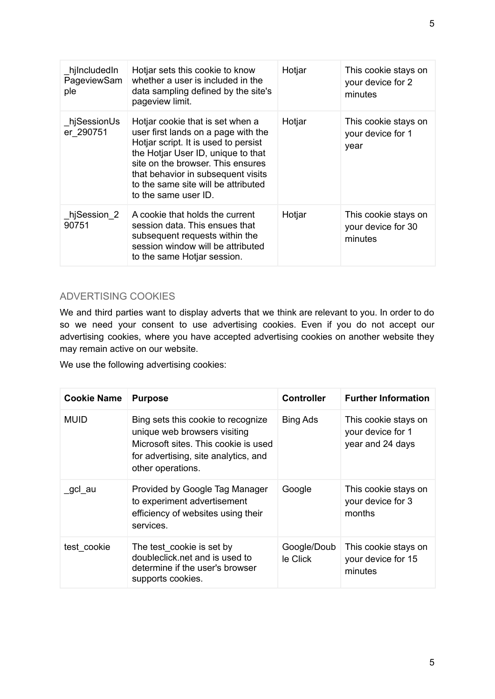| hjIncludedIn<br>PageviewSam<br>ple | Hotjar sets this cookie to know<br>whether a user is included in the<br>data sampling defined by the site's<br>pageview limit.                                                                                                                                                                  | Hotjar | This cookie stays on<br>your device for 2<br>minutes  |
|------------------------------------|-------------------------------------------------------------------------------------------------------------------------------------------------------------------------------------------------------------------------------------------------------------------------------------------------|--------|-------------------------------------------------------|
| hjSessionUs<br>er 290751           | Hotjar cookie that is set when a<br>user first lands on a page with the<br>Hotjar script. It is used to persist<br>the Hotjar User ID, unique to that<br>site on the browser. This ensures<br>that behavior in subsequent visits<br>to the same site will be attributed<br>to the same user ID. | Hotjar | This cookie stays on<br>your device for 1<br>year     |
| hjSession 2<br>90751               | A cookie that holds the current<br>session data. This ensues that<br>subsequent requests within the<br>session window will be attributed<br>to the same Hotjar session.                                                                                                                         | Hotjar | This cookie stays on<br>your device for 30<br>minutes |

# ADVERTISING COOKIES

We and third parties want to display adverts that we think are relevant to you. In order to do so we need your consent to use advertising cookies. Even if you do not accept our advertising cookies, where you have accepted advertising cookies on another website they may remain active on our website.

We use the following advertising cookies:

| <b>Cookie Name</b> | <b>Purpose</b>                                                                                                                                                          | <b>Controller</b>       | <b>Further Information</b>                                    |
|--------------------|-------------------------------------------------------------------------------------------------------------------------------------------------------------------------|-------------------------|---------------------------------------------------------------|
| MUID               | Bing sets this cookie to recognize<br>unique web browsers visiting<br>Microsoft sites. This cookie is used<br>for advertising, site analytics, and<br>other operations. | <b>Bing Ads</b>         | This cookie stays on<br>your device for 1<br>year and 24 days |
| gcl au             | Provided by Google Tag Manager<br>to experiment advertisement<br>efficiency of websites using their<br>services.                                                        | Google                  | This cookie stays on<br>your device for 3<br>months           |
| test cookie        | The test_cookie is set by<br>doubleclick.net and is used to<br>determine if the user's browser<br>supports cookies.                                                     | Google/Doub<br>le Click | This cookie stays on<br>your device for 15<br>minutes         |